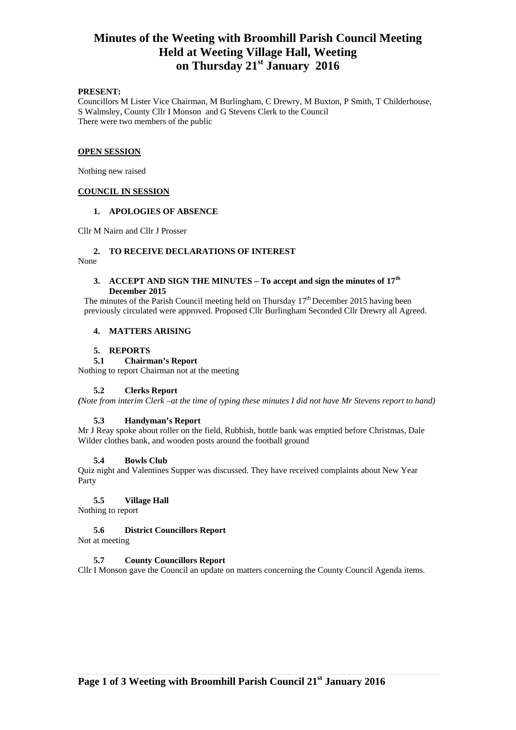# **Minutes of the Weeting with Broomhill Parish Council Meeting Held at Weeting Village Hall, Weeting on Thursday 21st January 2016**

## **PRESENT:**

Councillors M Lister Vice Chairman, M Burlingham, C Drewry, M Buxton, P Smith, T Childerhouse, S Walmsley, County Cllr I Monson and G Stevens Clerk to the Council There were two members of the public

#### **OPEN SESSION**

Nothing new raised

## **COUNCIL IN SESSION**

#### **1. APOLOGIES OF ABSENCE**

Cllr M Nairn and Cllr J Prosser

## **2. TO RECEIVE DECLARATIONS OF INTEREST**

None

## **3. ACCEPT AND SIGN THE MINUTES – To accept and sign the minutes of 17th December 2015**

The minutes of the Parish Council meeting held on Thursday  $17<sup>th</sup>$  December 2015 having been previously circulated were approved. Proposed Cllr Burlingham Seconded Cllr Drewry all Agreed.

#### **4. MATTERS ARISING**

#### **5. REPORTS**

#### **5.1 Chairman's Report**

Nothing to report Chairman not at the meeting

#### **5.2 Clerks Report**

*(Note from interim Clerk –at the time of typing these minutes I did not have Mr Stevens report to hand)* 

#### **5.3 Handyman's Report**

Mr J Reay spoke about roller on the field, Rubbish, bottle bank was emptied before Christmas, Dale Wilder clothes bank, and wooden posts around the football ground

#### **5.4 Bowls Club**

Quiz night and Valentines Supper was discussed. They have received complaints about New Year Party

#### **5.5 Village Hall**

Nothing to report

### **5.6 District Councillors Report**

Not at meeting

### **5.7 County Councillors Report**

Cllr I Monson gave the Council an update on matters concerning the County Council Agenda items.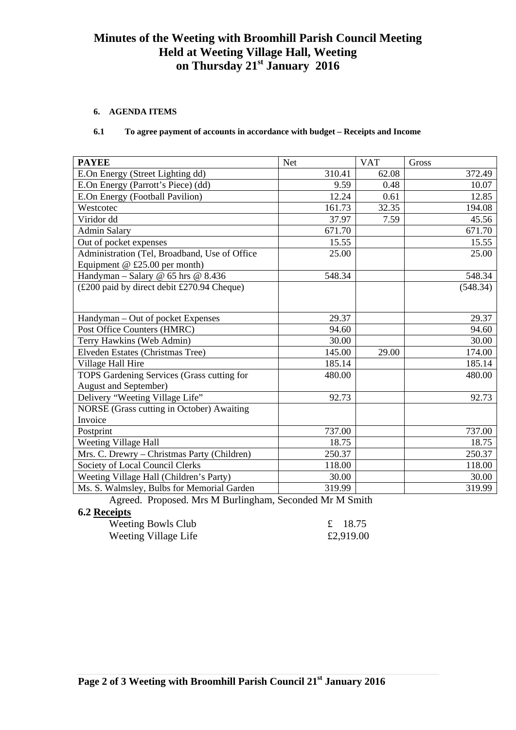# **Minutes of the Weeting with Broomhill Parish Council Meeting Held at Weeting Village Hall, Weeting on Thursday 21st January 2016**

# **6. AGENDA ITEMS**

# **6.1 To agree payment of accounts in accordance with budget – Receipts and Income**

| <b>PAYEE</b>                                  | <b>Net</b>                                                                              | <b>VAT</b>            | Gross    |
|-----------------------------------------------|-----------------------------------------------------------------------------------------|-----------------------|----------|
| E.On Energy (Street Lighting dd)              | 310.41                                                                                  | 62.08                 | 372.49   |
| E.On Energy (Parrott's Piece) (dd)            | 9.59                                                                                    | 0.48                  | 10.07    |
| E.On Energy (Football Pavilion)               | 12.24                                                                                   | 0.61                  | 12.85    |
| Westcotec                                     | 161.73                                                                                  | 32.35                 | 194.08   |
| Viridor dd                                    | 37.97                                                                                   | 7.59                  | 45.56    |
| <b>Admin Salary</b>                           | 671.70                                                                                  |                       | 671.70   |
| Out of pocket expenses                        | 15.55                                                                                   |                       | 15.55    |
| Administration (Tel, Broadband, Use of Office | 25.00                                                                                   |                       | 25.00    |
| Equipment $@E25.00$ per month)                |                                                                                         |                       |          |
| Handyman - Salary @ $65$ hrs @ $8.436$        | 548.34                                                                                  |                       | 548.34   |
| (£200 paid by direct debit £270.94 Cheque)    |                                                                                         |                       | (548.34) |
|                                               |                                                                                         |                       |          |
| Handyman - Out of pocket Expenses             | 29.37                                                                                   |                       | 29.37    |
| Post Office Counters (HMRC)                   | 94.60                                                                                   |                       | 94.60    |
| Terry Hawkins (Web Admin)                     | 30.00                                                                                   |                       | 30.00    |
| Elveden Estates (Christmas Tree)              | 145.00                                                                                  | 29.00                 | 174.00   |
| Village Hall Hire                             | 185.14                                                                                  |                       | 185.14   |
| TOPS Gardening Services (Grass cutting for    | 480.00                                                                                  |                       | 480.00   |
| <b>August and September)</b>                  |                                                                                         |                       |          |
| Delivery "Weeting Village Life"               | 92.73                                                                                   |                       | 92.73    |
| NORSE (Grass cutting in October) Awaiting     |                                                                                         |                       |          |
| Invoice                                       |                                                                                         |                       |          |
| Postprint                                     | 737.00                                                                                  |                       | 737.00   |
| Weeting Village Hall                          | 18.75                                                                                   |                       | 18.75    |
| Mrs. C. Drewry - Christmas Party (Children)   | 250.37                                                                                  |                       | 250.37   |
| Society of Local Council Clerks               | 118.00                                                                                  |                       | 118.00   |
| Weeting Village Hall (Children's Party)       | 30.00                                                                                   |                       | 30.00    |
| Ms. S. Walmsley, Bulbs for Memorial Garden    | 319.99<br>$\mathbf{1}$ $\mathbf{1}$ $\mathbf{2}$ $\mathbf{3}$ $\mathbf{5}$ $\mathbf{6}$ | $\bullet$ . $\bullet$ | 319.99   |

 Agreed. Proposed. Mrs M Burlingham, Seconded Mr M Smith **6.2 Receipts** 

| <b>Weeting Bowls Club</b> | £ 18.75   |
|---------------------------|-----------|
| Weeting Village Life      | £2,919.00 |